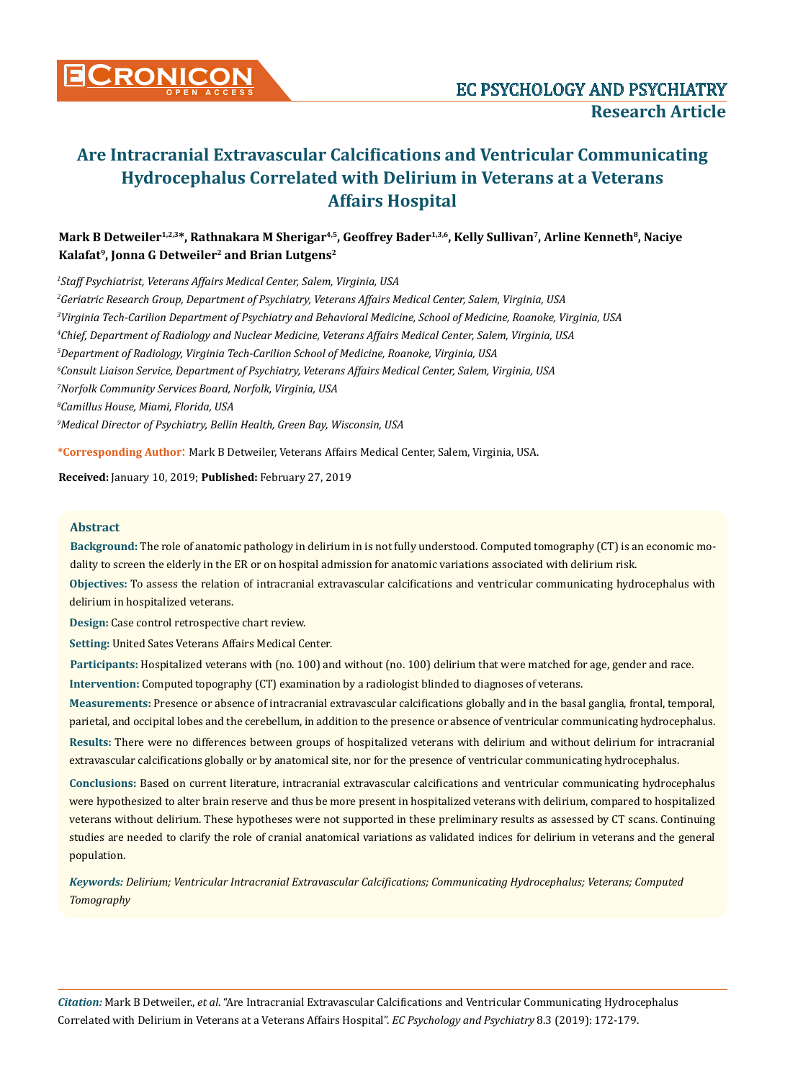

# **Are Intracranial Extravascular Calcifications and Ventricular Communicating Hydrocephalus Correlated with Delirium in Veterans at a Veterans Affairs Hospital**

## **Mark B Detweiler<sup>1,2,3</sup>\*, Rathnakara M Sherigar<sup>4,5</sup>, Geoffrey Bader<sup>1,3,6</sup>, Kelly Sullivan<sup>7</sup>, Arline Kenneth<sup>8</sup>, Naciye Kalafat9, Jonna G Detweiler<sup>2</sup> and Brian Lutgens<sup>2</sup>**

 *Staff Psychiatrist, Veterans Affairs Medical Center, Salem, Virginia, USA Geriatric Research Group, Department of Psychiatry, Veterans Affairs Medical Center, Salem, Virginia, USA Virginia Tech-Carilion Department of Psychiatry and Behavioral Medicine, School of Medicine, Roanoke, Virginia, USA Chief, Department of Radiology and Nuclear Medicine, Veterans Affairs Medical Center, Salem, Virginia, USA Department of Radiology, Virginia Tech-Carilion School of Medicine, Roanoke, Virginia, USA Consult Liaison Service, Department of Psychiatry, Veterans Affairs Medical Center, Salem, Virginia, USA Norfolk Community Services Board, Norfolk, Virginia, USA Camillus House, Miami, Florida, USA Medical Director of Psychiatry, Bellin Health, Green Bay, Wisconsin, USA*

**\*Corresponding Author**: Mark B Detweiler, Veterans Affairs Medical Center, Salem, Virginia, USA.

**Received:** January 10, 2019; **Published:** February 27, 2019

#### **Abstract**

**Background:** The role of anatomic pathology in delirium in is not fully understood. Computed tomography (CT) is an economic modality to screen the elderly in the ER or on hospital admission for anatomic variations associated with delirium risk.

**Objectives:** To assess the relation of intracranial extravascular calcifications and ventricular communicating hydrocephalus with delirium in hospitalized veterans.

**Design:** Case control retrospective chart review.

**Setting:** United Sates Veterans Affairs Medical Center.

**Intervention:** Computed topography (CT) examination by a radiologist blinded to diagnoses of veterans. **Participants:** Hospitalized veterans with (no. 100) and without (no. 100) delirium that were matched for age, gender and race.

**Results:** There were no differences between groups of hospitalized veterans with delirium and without delirium for intracranial extravascular calcifications globally or by anatomical site, nor for the presence of ventricular communicating hydrocephalus. **Measurements:** Presence or absence of intracranial extravascular calcifications globally and in the basal ganglia, frontal, temporal, parietal, and occipital lobes and the cerebellum, in addition to the presence or absence of ventricular communicating hydrocephalus.

**Conclusions:** Based on current literature, intracranial extravascular calcifications and ventricular communicating hydrocephalus were hypothesized to alter brain reserve and thus be more present in hospitalized veterans with delirium, compared to hospitalized veterans without delirium. These hypotheses were not supported in these preliminary results as assessed by CT scans. Continuing studies are needed to clarify the role of cranial anatomical variations as validated indices for delirium in veterans and the general population.

*Keywords: Delirium; Ventricular Intracranial Extravascular Calcifications; Communicating Hydrocephalus; Veterans; Computed Tomography*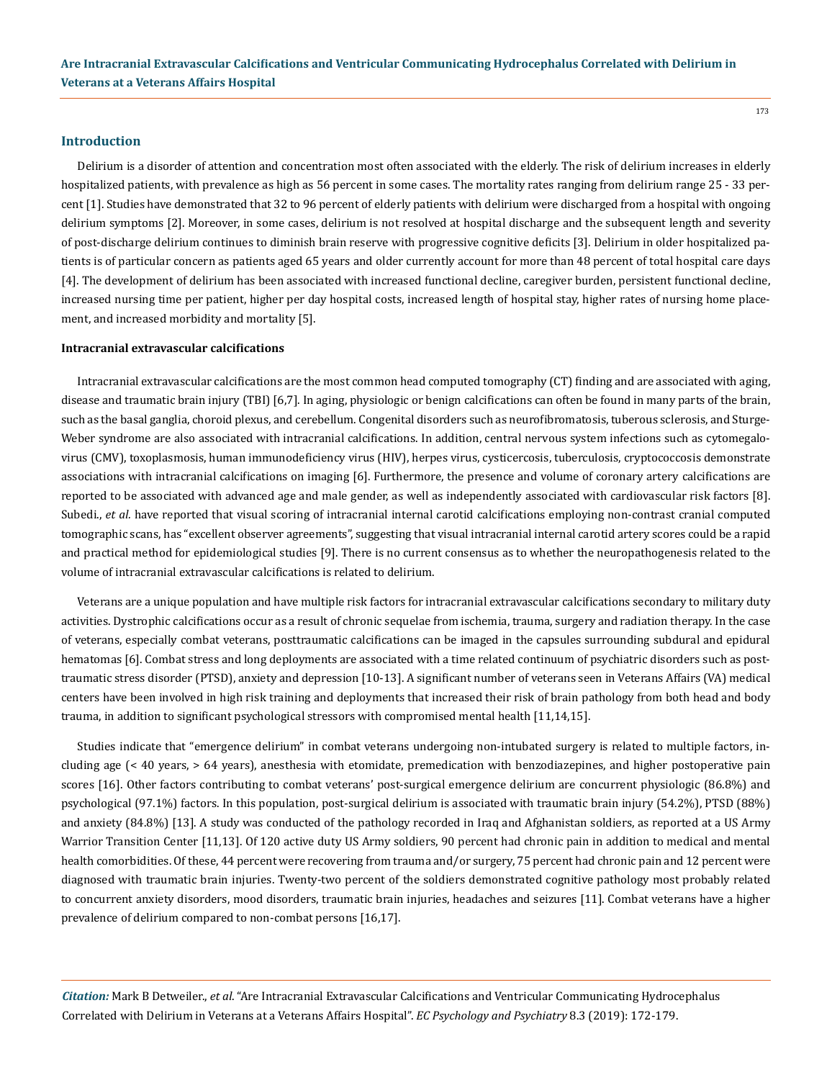#### **Introduction**

Delirium is a disorder of attention and concentration most often associated with the elderly. The risk of delirium increases in elderly hospitalized patients, with prevalence as high as 56 percent in some cases. The mortality rates ranging from delirium range 25 - 33 percent [1]. Studies have demonstrated that 32 to 96 percent of elderly patients with delirium were discharged from a hospital with ongoing delirium symptoms [2]. Moreover, in some cases, delirium is not resolved at hospital discharge and the subsequent length and severity of post-discharge delirium continues to diminish brain reserve with progressive cognitive deficits [3]. Delirium in older hospitalized patients is of particular concern as patients aged 65 years and older currently account for more than 48 percent of total hospital care days [4]. The development of delirium has been associated with increased functional decline, caregiver burden, persistent functional decline, increased nursing time per patient, higher per day hospital costs, increased length of hospital stay, higher rates of nursing home placement, and increased morbidity and mortality [5].

#### **Intracranial extravascular calcifications**

Intracranial extravascular calcifications are the most common head computed tomography (CT) finding and are associated with aging, disease and traumatic brain injury (TBI) [6,7]. In aging, physiologic or benign calcifications can often be found in many parts of the brain, such as the basal ganglia, choroid plexus, and cerebellum. Congenital disorders such as neurofibromatosis, tuberous sclerosis, and Sturge-Weber syndrome are also associated with intracranial calcifications. In addition, central nervous system infections such as cytomegalovirus (CMV), toxoplasmosis, human immunodeficiency virus (HIV), herpes virus, cysticercosis, tuberculosis, cryptococcosis demonstrate associations with intracranial calcifications on imaging [6]. Furthermore, the presence and volume of coronary artery calcifications are reported to be associated with advanced age and male gender, as well as independently associated with cardiovascular risk factors [8]. Subedi., *et al.* have reported that visual scoring of intracranial internal carotid calcifications employing non-contrast cranial computed tomographic scans, has "excellent observer agreements", suggesting that visual intracranial internal carotid artery scores could be a rapid and practical method for epidemiological studies [9]. There is no current consensus as to whether the neuropathogenesis related to the volume of intracranial extravascular calcifications is related to delirium.

Veterans are a unique population and have multiple risk factors for intracranial extravascular calcifications secondary to military duty activities. Dystrophic calcifications occur as a result of chronic sequelae from ischemia, trauma, surgery and radiation therapy. In the case of veterans, especially combat veterans, posttraumatic calcifications can be imaged in the capsules surrounding subdural and epidural hematomas [6]. Combat stress and long deployments are associated with a time related continuum of psychiatric disorders such as posttraumatic stress disorder (PTSD), anxiety and depression [10-13]. A significant number of veterans seen in Veterans Affairs (VA) medical centers have been involved in high risk training and deployments that increased their risk of brain pathology from both head and body trauma, in addition to significant psychological stressors with compromised mental health [11,14,15].

Studies indicate that "emergence delirium" in combat veterans undergoing non-intubated surgery is related to multiple factors, including age (< 40 years, > 64 years), anesthesia with etomidate, premedication with benzodiazepines, and higher postoperative pain scores [16]. Other factors contributing to combat veterans' post-surgical emergence delirium are concurrent physiologic (86.8%) and psychological (97.1%) factors. In this population, post-surgical delirium is associated with traumatic brain injury (54.2%), PTSD (88%) and anxiety (84.8%) [13]. A study was conducted of the pathology recorded in Iraq and Afghanistan soldiers, as reported at a US Army Warrior Transition Center [11,13]. Of 120 active duty US Army soldiers, 90 percent had chronic pain in addition to medical and mental health comorbidities. Of these, 44 percent were recovering from trauma and/or surgery, 75 percent had chronic pain and 12 percent were diagnosed with traumatic brain injuries. Twenty-two percent of the soldiers demonstrated cognitive pathology most probably related to concurrent anxiety disorders, mood disorders, traumatic brain injuries, headaches and seizures [11]. Combat veterans have a higher prevalence of delirium compared to non-combat persons [16,17].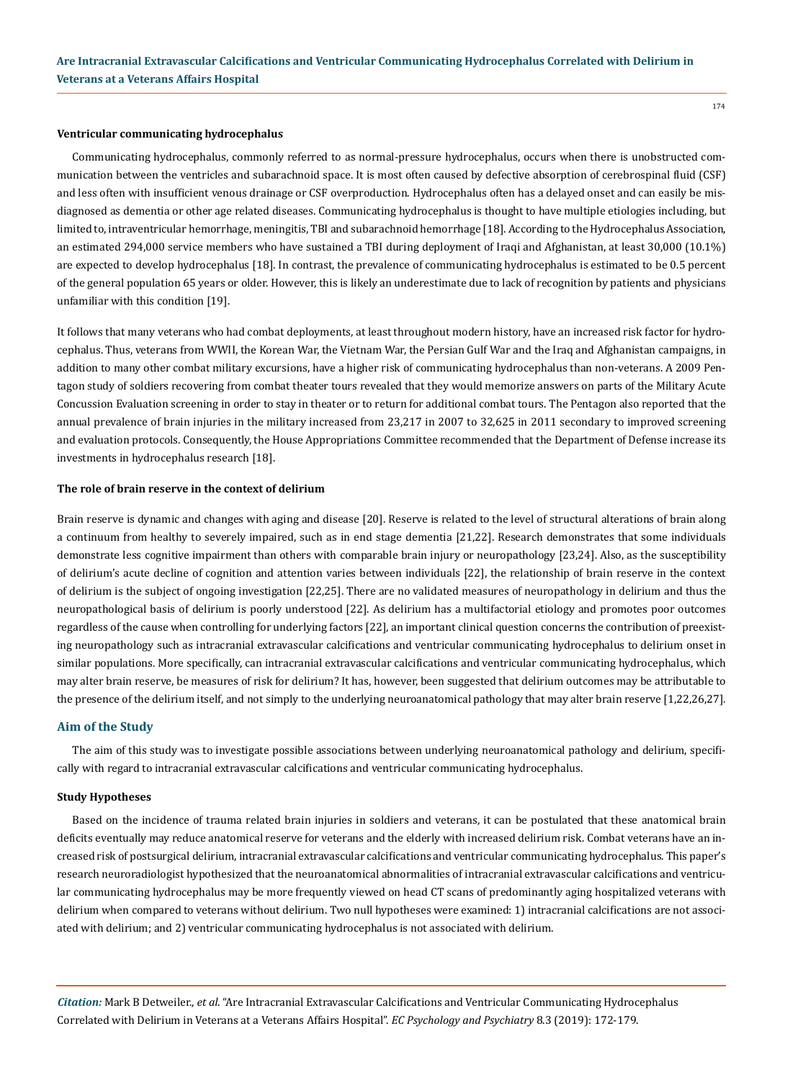#### **Ventricular communicating hydrocephalus**

Communicating hydrocephalus, commonly referred to as normal-pressure hydrocephalus, occurs when there is unobstructed communication between the ventricles and subarachnoid space. It is most often caused by defective absorption of cerebrospinal fluid (CSF) and less often with insufficient venous drainage or CSF overproduction. Hydrocephalus often has a delayed onset and can easily be misdiagnosed as dementia or other age related diseases. Communicating hydrocephalus is thought to have multiple etiologies including, but limited to, intraventricular hemorrhage, meningitis, TBI and subarachnoid hemorrhage [18]. According to the Hydrocephalus Association, an estimated 294,000 service members who have sustained a TBI during deployment of Iraqi and Afghanistan, at least 30,000 (10.1%) are expected to develop hydrocephalus [18]. In contrast, the prevalence of communicating hydrocephalus is estimated to be 0.5 percent of the general population 65 years or older. However, this is likely an underestimate due to lack of recognition by patients and physicians unfamiliar with this condition [19].

It follows that many veterans who had combat deployments, at least throughout modern history, have an increased risk factor for hydrocephalus. Thus, veterans from WWII, the Korean War, the Vietnam War, the Persian Gulf War and the Iraq and Afghanistan campaigns, in addition to many other combat military excursions, have a higher risk of communicating hydrocephalus than non-veterans. A 2009 Pentagon study of soldiers recovering from combat theater tours revealed that they would memorize answers on parts of the Military Acute Concussion Evaluation screening in order to stay in theater or to return for additional combat tours. The Pentagon also reported that the annual prevalence of brain injuries in the military increased from 23,217 in 2007 to 32,625 in 2011 secondary to improved screening and evaluation protocols. Consequently, the House Appropriations Committee recommended that the Department of Defense increase its investments in hydrocephalus research [18].

#### **The role of brain reserve in the context of delirium**

Brain reserve is dynamic and changes with aging and disease [20]. Reserve is related to the level of structural alterations of brain along a continuum from healthy to severely impaired, such as in end stage dementia [21,22]. Research demonstrates that some individuals demonstrate less cognitive impairment than others with comparable brain injury or neuropathology [23,24]. Also, as the susceptibility of delirium's acute decline of cognition and attention varies between individuals [22], the relationship of brain reserve in the context of delirium is the subject of ongoing investigation [22,25]. There are no validated measures of neuropathology in delirium and thus the neuropathological basis of delirium is poorly understood [22]. As delirium has a multifactorial etiology and promotes poor outcomes regardless of the cause when controlling for underlying factors [22], an important clinical question concerns the contribution of preexisting neuropathology such as intracranial extravascular calcifications and ventricular communicating hydrocephalus to delirium onset in similar populations. More specifically, can intracranial extravascular calcifications and ventricular communicating hydrocephalus, which may alter brain reserve, be measures of risk for delirium? It has, however, been suggested that delirium outcomes may be attributable to the presence of the delirium itself, and not simply to the underlying neuroanatomical pathology that may alter brain reserve [1,22,26,27].

#### **Aim of the Study**

The aim of this study was to investigate possible associations between underlying neuroanatomical pathology and delirium, specifically with regard to intracranial extravascular calcifications and ventricular communicating hydrocephalus.

#### **Study Hypotheses**

Based on the incidence of trauma related brain injuries in soldiers and veterans, it can be postulated that these anatomical brain deficits eventually may reduce anatomical reserve for veterans and the elderly with increased delirium risk. Combat veterans have an increased risk of postsurgical delirium, intracranial extravascular calcifications and ventricular communicating hydrocephalus. This paper's research neuroradiologist hypothesized that the neuroanatomical abnormalities of intracranial extravascular calcifications and ventricular communicating hydrocephalus may be more frequently viewed on head CT scans of predominantly aging hospitalized veterans with delirium when compared to veterans without delirium. Two null hypotheses were examined: 1) intracranial calcifications are not associated with delirium; and 2) ventricular communicating hydrocephalus is not associated with delirium.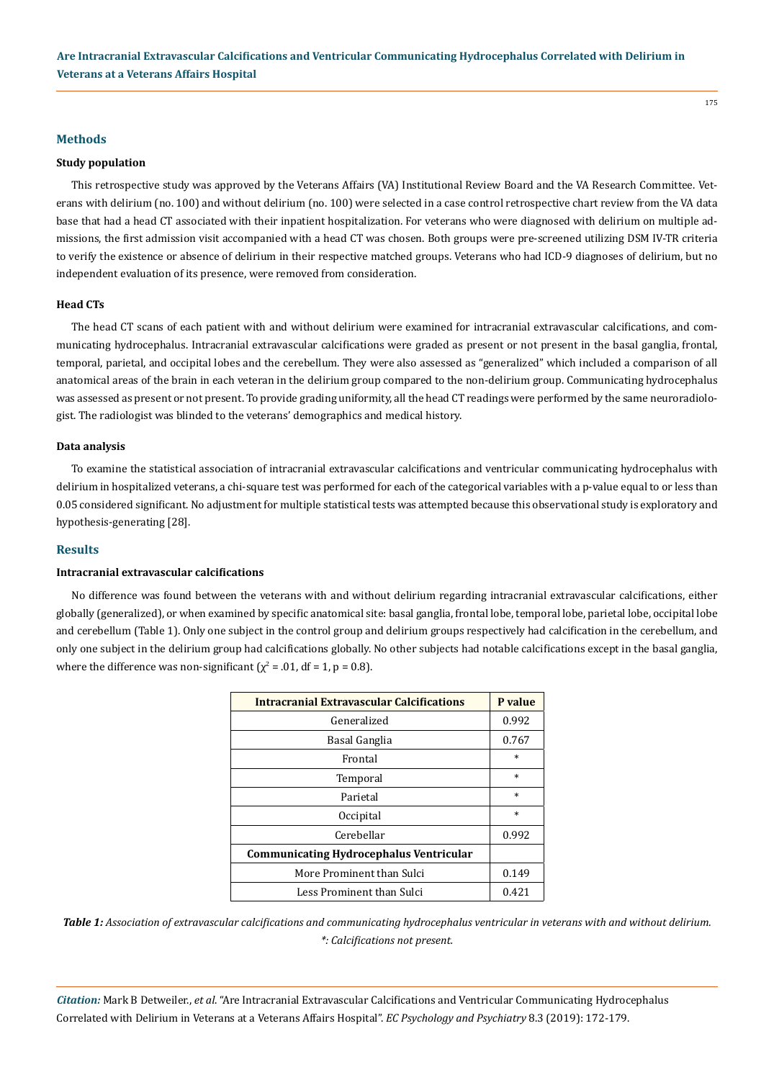#### **Methods**

#### **Study population**

This retrospective study was approved by the Veterans Affairs (VA) Institutional Review Board and the VA Research Committee. Veterans with delirium (no. 100) and without delirium (no. 100) were selected in a case control retrospective chart review from the VA data base that had a head CT associated with their inpatient hospitalization. For veterans who were diagnosed with delirium on multiple admissions, the first admission visit accompanied with a head CT was chosen. Both groups were pre-screened utilizing DSM IV-TR criteria to verify the existence or absence of delirium in their respective matched groups. Veterans who had ICD-9 diagnoses of delirium, but no independent evaluation of its presence, were removed from consideration.

#### **Head CTs**

The head CT scans of each patient with and without delirium were examined for intracranial extravascular calcifications, and communicating hydrocephalus. Intracranial extravascular calcifications were graded as present or not present in the basal ganglia, frontal, temporal, parietal, and occipital lobes and the cerebellum. They were also assessed as "generalized" which included a comparison of all anatomical areas of the brain in each veteran in the delirium group compared to the non-delirium group. Communicating hydrocephalus was assessed as present or not present. To provide grading uniformity, all the head CT readings were performed by the same neuroradiologist. The radiologist was blinded to the veterans' demographics and medical history.

#### **Data analysis**

To examine the statistical association of intracranial extravascular calcifications and ventricular communicating hydrocephalus with delirium in hospitalized veterans, a chi-square test was performed for each of the categorical variables with a p-value equal to or less than 0.05 considered significant. No adjustment for multiple statistical tests was attempted because this observational study is exploratory and hypothesis-generating [28].

#### **Results**

#### **Intracranial extravascular calcifications**

No difference was found between the veterans with and without delirium regarding intracranial extravascular calcifications, either globally (generalized), or when examined by specific anatomical site: basal ganglia, frontal lobe, temporal lobe, parietal lobe, occipital lobe and cerebellum (Table 1). Only one subject in the control group and delirium groups respectively had calcification in the cerebellum, and only one subject in the delirium group had calcifications globally. No other subjects had notable calcifications except in the basal ganglia, where the difference was non-significant ( $\chi^2$  = .01, df = 1, p = 0.8).

| <b>Intracranial Extravascular Calcifications</b> | P value |
|--------------------------------------------------|---------|
| Generalized                                      | 0.992   |
| Basal Ganglia                                    | 0.767   |
| Frontal                                          | $\ast$  |
| Temporal                                         | $\ast$  |
| Parietal                                         | $\ast$  |
| Occipital                                        | $\ast$  |
| Cerebellar                                       | 0.992   |
| <b>Communicating Hydrocephalus Ventricular</b>   |         |
| More Prominent than Sulci                        | 0.149   |
| Less Prominent than Sulci                        | 0.421   |

*Table 1: Association of extravascular calcifications and communicating hydrocephalus ventricular in veterans with and without delirium. \*: Calcifications not present.*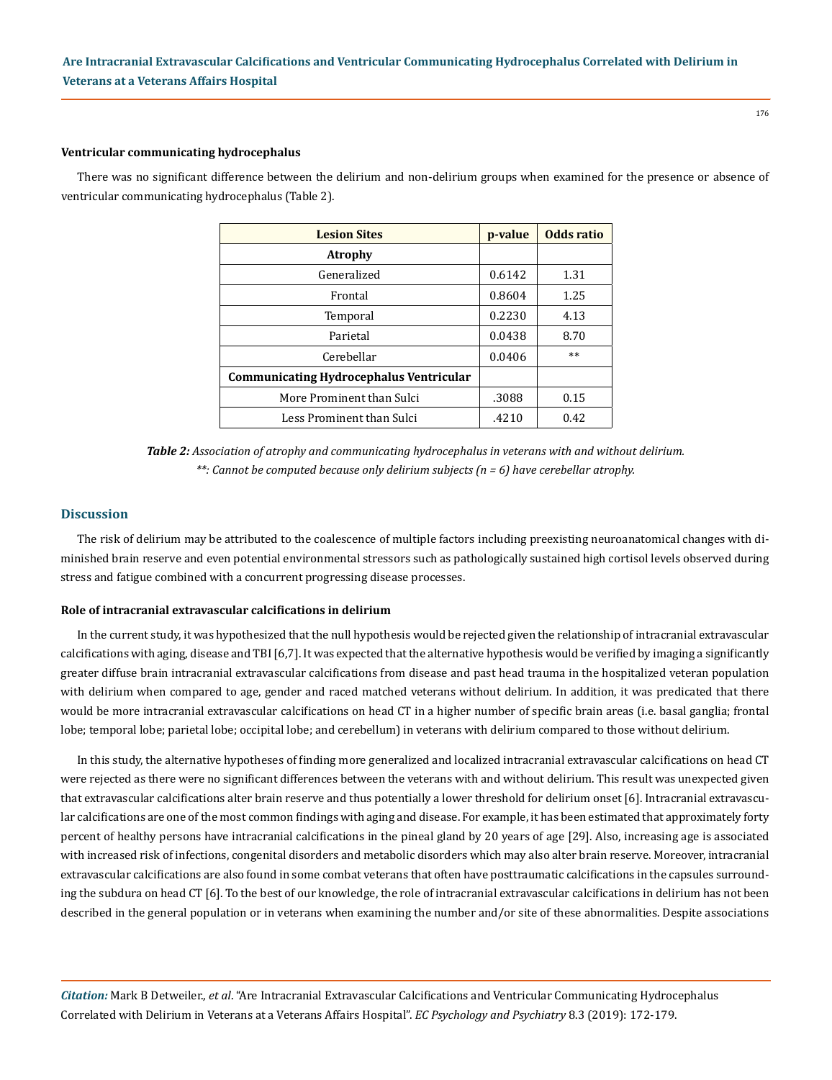#### 176

## **Ventricular communicating hydrocephalus**

There was no significant difference between the delirium and non-delirium groups when examined for the presence or absence of ventricular communicating hydrocephalus (Table 2).

| <b>Lesion Sites</b>                            | p-value | Odds ratio |
|------------------------------------------------|---------|------------|
| <b>Atrophy</b>                                 |         |            |
| Generalized                                    | 0.6142  | 1.31       |
| Frontal                                        | 0.8604  | 1.25       |
| Temporal                                       | 0.2230  | 4.13       |
| Parietal                                       | 0.0438  | 8.70       |
| Cerebellar                                     | 0.0406  | $**$       |
| <b>Communicating Hydrocephalus Ventricular</b> |         |            |
| More Prominent than Sulci                      | .3088   | 0.15       |
| Less Prominent than Sulci                      | .4210   | 0.42       |

*Table 2: Association of atrophy and communicating hydrocephalus in veterans with and without delirium. \*\*: Cannot be computed because only delirium subjects (n = 6) have cerebellar atrophy.*

#### **Discussion**

The risk of delirium may be attributed to the coalescence of multiple factors including preexisting neuroanatomical changes with diminished brain reserve and even potential environmental stressors such as pathologically sustained high cortisol levels observed during stress and fatigue combined with a concurrent progressing disease processes.

#### **Role of intracranial extravascular calcifications in delirium**

In the current study, it was hypothesized that the null hypothesis would be rejected given the relationship of intracranial extravascular calcifications with aging, disease and TBI [6,7]. It was expected that the alternative hypothesis would be verified by imaging a significantly greater diffuse brain intracranial extravascular calcifications from disease and past head trauma in the hospitalized veteran population with delirium when compared to age, gender and raced matched veterans without delirium. In addition, it was predicated that there would be more intracranial extravascular calcifications on head CT in a higher number of specific brain areas (i.e. basal ganglia; frontal lobe; temporal lobe; parietal lobe; occipital lobe; and cerebellum) in veterans with delirium compared to those without delirium.

In this study, the alternative hypotheses of finding more generalized and localized intracranial extravascular calcifications on head CT were rejected as there were no significant differences between the veterans with and without delirium. This result was unexpected given that extravascular calcifications alter brain reserve and thus potentially a lower threshold for delirium onset [6]. Intracranial extravascular calcifications are one of the most common findings with aging and disease. For example, it has been estimated that approximately forty percent of healthy persons have intracranial calcifications in the pineal gland by 20 years of age [29]. Also, increasing age is associated with increased risk of infections, congenital disorders and metabolic disorders which may also alter brain reserve. Moreover, intracranial extravascular calcifications are also found in some combat veterans that often have posttraumatic calcifications in the capsules surrounding the subdura on head CT [6]. To the best of our knowledge, the role of intracranial extravascular calcifications in delirium has not been described in the general population or in veterans when examining the number and/or site of these abnormalities. Despite associations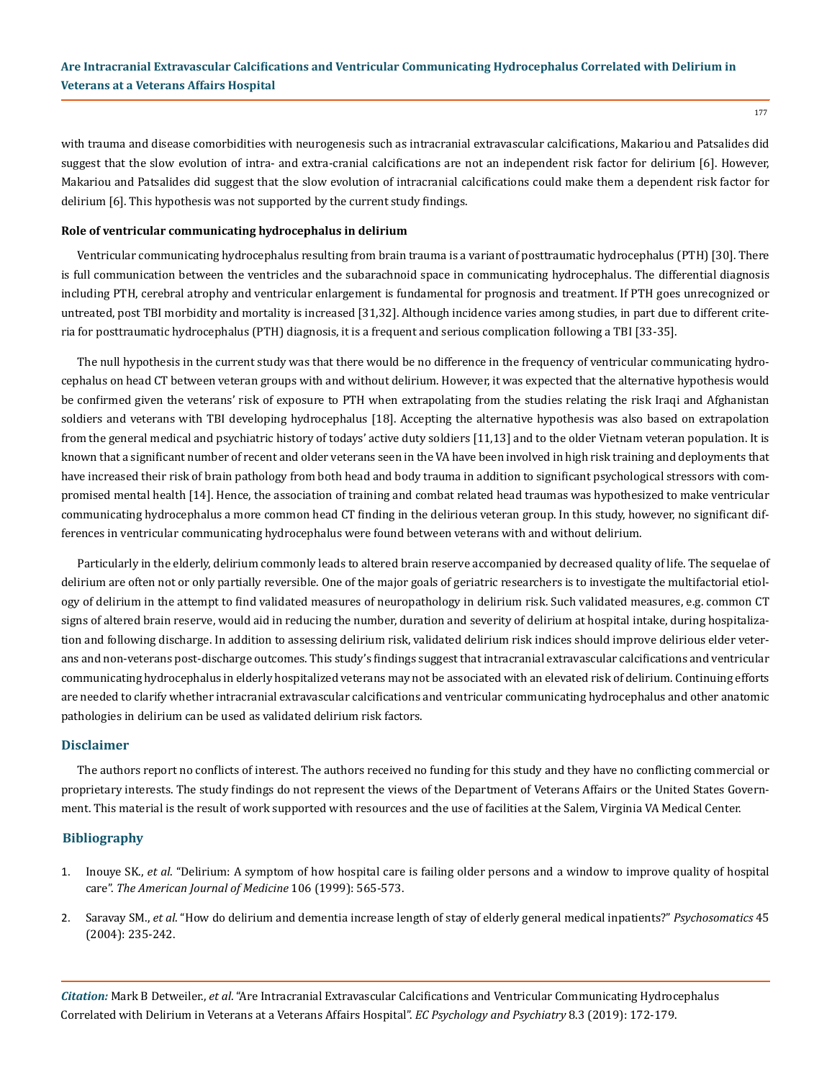177

with trauma and disease comorbidities with neurogenesis such as intracranial extravascular calcifications, Makariou and Patsalides did suggest that the slow evolution of intra- and extra-cranial calcifications are not an independent risk factor for delirium [6]. However, Makariou and Patsalides did suggest that the slow evolution of intracranial calcifications could make them a dependent risk factor for delirium [6]. This hypothesis was not supported by the current study findings.

#### **Role of ventricular communicating hydrocephalus in delirium**

Ventricular communicating hydrocephalus resulting from brain trauma is a variant of posttraumatic hydrocephalus (PTH) [30]. There is full communication between the ventricles and the subarachnoid space in communicating hydrocephalus. The differential diagnosis including PTH, cerebral atrophy and ventricular enlargement is fundamental for prognosis and treatment. If PTH goes unrecognized or untreated, post TBI morbidity and mortality is increased [31,32]. Although incidence varies among studies, in part due to different criteria for posttraumatic hydrocephalus (PTH) diagnosis, it is a frequent and serious complication following a TBI [33-35].

The null hypothesis in the current study was that there would be no difference in the frequency of ventricular communicating hydrocephalus on head CT between veteran groups with and without delirium. However, it was expected that the alternative hypothesis would be confirmed given the veterans' risk of exposure to PTH when extrapolating from the studies relating the risk Iraqi and Afghanistan soldiers and veterans with TBI developing hydrocephalus [18]. Accepting the alternative hypothesis was also based on extrapolation from the general medical and psychiatric history of todays' active duty soldiers [11,13] and to the older Vietnam veteran population. It is known that a significant number of recent and older veterans seen in the VA have been involved in high risk training and deployments that have increased their risk of brain pathology from both head and body trauma in addition to significant psychological stressors with compromised mental health [14]. Hence, the association of training and combat related head traumas was hypothesized to make ventricular communicating hydrocephalus a more common head CT finding in the delirious veteran group. In this study, however, no significant differences in ventricular communicating hydrocephalus were found between veterans with and without delirium.

Particularly in the elderly, delirium commonly leads to altered brain reserve accompanied by decreased quality of life. The sequelae of delirium are often not or only partially reversible. One of the major goals of geriatric researchers is to investigate the multifactorial etiology of delirium in the attempt to find validated measures of neuropathology in delirium risk. Such validated measures, e.g. common CT signs of altered brain reserve, would aid in reducing the number, duration and severity of delirium at hospital intake, during hospitalization and following discharge. In addition to assessing delirium risk, validated delirium risk indices should improve delirious elder veterans and non-veterans post-discharge outcomes. This study's findings suggest that intracranial extravascular calcifications and ventricular communicating hydrocephalus in elderly hospitalized veterans may not be associated with an elevated risk of delirium. Continuing efforts are needed to clarify whether intracranial extravascular calcifications and ventricular communicating hydrocephalus and other anatomic pathologies in delirium can be used as validated delirium risk factors.

#### **Disclaimer**

The authors report no conflicts of interest. The authors received no funding for this study and they have no conflicting commercial or proprietary interests. The study findings do not represent the views of the Department of Veterans Affairs or the United States Government. This material is the result of work supported with resources and the use of facilities at the Salem, Virginia VA Medical Center.

#### **Bibliography**

- 1. Inouye SK., *et al*[. "Delirium: A symptom of how hospital care is failing older persons and a window to improve quality of hospital](https://www.ncbi.nlm.nih.gov/pubmed/10335730) care". *[The American Journal of Medicine](https://www.ncbi.nlm.nih.gov/pubmed/10335730)* 106 (1999): 565-573.
- 2. Saravay SM., *et al*[. "How do delirium and dementia increase length of stay of elderly general medical inpatients?"](https://www.ncbi.nlm.nih.gov/pubmed/15123850) *Psychosomatics* 45 [\(2004\): 235-242.](https://www.ncbi.nlm.nih.gov/pubmed/15123850)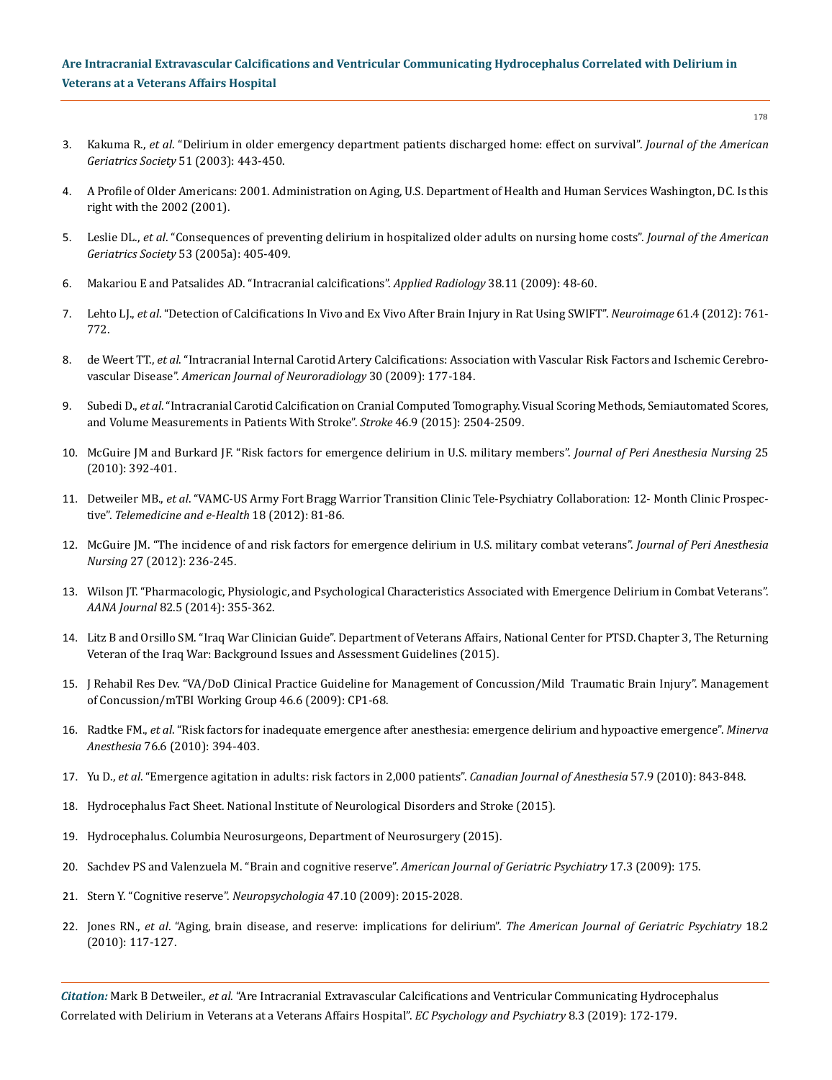## **Are Intracranial Extravascular Calcifications and Ventricular Communicating Hydrocephalus Correlated with Delirium in Veterans at a Veterans Affairs Hospital**

- 3. Kakuma R., *et al*[. "Delirium in older emergency department patients discharged home: effect on survival".](https://www.ncbi.nlm.nih.gov/pubmed/12657062) *Journal of the American [Geriatrics Society](https://www.ncbi.nlm.nih.gov/pubmed/12657062)* 51 (2003): 443-450.
- 4. A Profile of Older Americans: 2001. Administration on Aging, U.S. Department of Health and Human Services Washington, DC. Is this right with the 2002 (2001).
- 5. Leslie DL., *et al*[. "Consequences of preventing delirium in hospitalized older adults on nursing home costs".](https://www.ncbi.nlm.nih.gov/pubmed/15743281) *Journal of the American Geriatrics Society* [53 \(2005a\): 405-409.](https://www.ncbi.nlm.nih.gov/pubmed/15743281)
- 6. [Makariou E and Patsalides AD. "Intracranial calcifications".](https://www.researchgate.net/publication/285752719_Intracranial_calcifications) *Applied Radiology* 38.11 (2009): 48-60.
- 7. Lehto LJ., *et al*[. "Detection of Calcifications In Vivo and Ex Vivo After Brain Injury in Rat Using SWIFT".](https://www.ncbi.nlm.nih.gov/pubmed/22425671) *Neuroimage* 61.4 (2012): 761- [772.](https://www.ncbi.nlm.nih.gov/pubmed/22425671)
- 8. de Weert TT., *et al*[. "Intracranial Internal Carotid Artery Calcifications: Association with Vascular Risk Factors and Ischemic Cerebro](https://www.ncbi.nlm.nih.gov/pubmed/18842764)vascular Disease". *[American Journal of Neuroradiology](https://www.ncbi.nlm.nih.gov/pubmed/18842764)* 30 (2009): 177-184.
- 9. Subedi D., *et al*[. "Intracranial Carotid Calcification on Cranial Computed Tomography. Visual Scoring Methods, Semiautomated Scores,](https://www.ncbi.nlm.nih.gov/pubmed/26251250)  [and Volume Measurements in Patients With Stroke".](https://www.ncbi.nlm.nih.gov/pubmed/26251250) *Stroke* 46.9 (2015): 2504-2509.
- 10. [McGuire JM and Burkard JF. "Risk factors for emergence delirium in U.S. military members".](https://www.ncbi.nlm.nih.gov/pubmed/21126670) *Journal of Peri Anesthesia Nursing* 25 [\(2010\): 392-401.](https://www.ncbi.nlm.nih.gov/pubmed/21126670)
- 11. Detweiler MB., *et al*[. "VAMC-US Army Fort Bragg Warrior Transition Clinic Tele-Psychiatry Collaboration: 12- Month Clinic Prospec](https://www.ncbi.nlm.nih.gov/pubmed/22283361)tive". *[Telemedicine and e-Health](https://www.ncbi.nlm.nih.gov/pubmed/22283361)* 18 (2012): 81-86.
- 12. [McGuire JM. "The incidence of and risk factors for emergence delirium in U.S. military combat veterans".](https://www.ncbi.nlm.nih.gov/pubmed/22828019) *Journal of Peri Anesthesia Nursing* [27 \(2012\): 236-245.](https://www.ncbi.nlm.nih.gov/pubmed/22828019)
- 13. [Wilson JT. "Pharmacologic, Physiologic, and Psychological Characteristics Associated with Emergence Delirium in Combat Veterans".](https://www.ncbi.nlm.nih.gov/pubmed/25842650)  *AANA Journal* [82.5 \(2014\): 355-362.](https://www.ncbi.nlm.nih.gov/pubmed/25842650)
- 14. [Litz B and Orsillo SM. "Iraq War Clinician Guide". Department of Veterans Affairs, National Center for PTSD. Chapter 3, The Returning](http://www.ptsd.va.gov/professional/treatment/vets/vets-iraq-war-guidelines.asp)  [Veteran of the Iraq War: Background Issues and Assessment Guidelines \(2015\).](http://www.ptsd.va.gov/professional/treatment/vets/vets-iraq-war-guidelines.asp)
- 15. [J Rehabil Res Dev. "VA/DoD Clinical Practice Guideline for Management of Concussion/Mild Traumatic Brain Injury". Management](https://www.ncbi.nlm.nih.gov/pubmed/20108447)  [of Concussion/mTBI Working Group 46.6 \(2009\): CP1-68.](https://www.ncbi.nlm.nih.gov/pubmed/20108447)
- 16. Radtke FM., *et al*[. "Risk factors for inadequate emergence after anesthesia: emergence delirium and hypoactive emergence".](https://www.ncbi.nlm.nih.gov/pubmed/20473252) *Minerva Anesthesia* [76.6 \(2010\): 394-403.](https://www.ncbi.nlm.nih.gov/pubmed/20473252)
- 17. Yu D., *et al*[. "Emergence agitation in adults: risk factors in 2,000 patients".](https://www.ncbi.nlm.nih.gov/pubmed/20526708) *Canadian Journal of Anesthesia* 57.9 (2010): 843-848.
- 18. [Hydrocephalus Fact Sheet. National Institute of Neurological Disorders and Stroke \(2015\).](http://www.ninds.nih.gov/disorders/hydrocephalus/detail_hydrocephalus.htm)
- 19. [Hydrocephalus. Columbia Neurosurgeons, Department of Neurosurgery \(2015\).](http://www.columbianeurosurgery.org/conditions/adult-hydrocephalus/)
- 20. [Sachdev PS and Valenzuela M. "Brain and cognitive reserve".](https://www.ncbi.nlm.nih.gov/pubmed/19225275) *American Journal of Geriatric Psychiatry* 17.3 (2009): 175.
- 21. [Stern Y. "Cognitive reserve".](https://www.ncbi.nlm.nih.gov/pubmed/19467352) *Neuropsychologia* 47.10 (2009): 2015-2028.
- 22. Jones RN., *et al*[. "Aging, brain disease, and reserve: implications for delirium".](https://www.ncbi.nlm.nih.gov/pmc/articles/PMC2848522/) *The American Journal of Geriatric Psychiatry* 18.2 [\(2010\): 117-127.](https://www.ncbi.nlm.nih.gov/pmc/articles/PMC2848522/)

*Citation:* Mark B Detweiler., *et al*. "Are Intracranial Extravascular Calcifications and Ventricular Communicating Hydrocephalus Correlated with Delirium in Veterans at a Veterans Affairs Hospital". *EC Psychology and Psychiatry* 8.3 (2019): 172-179.

178